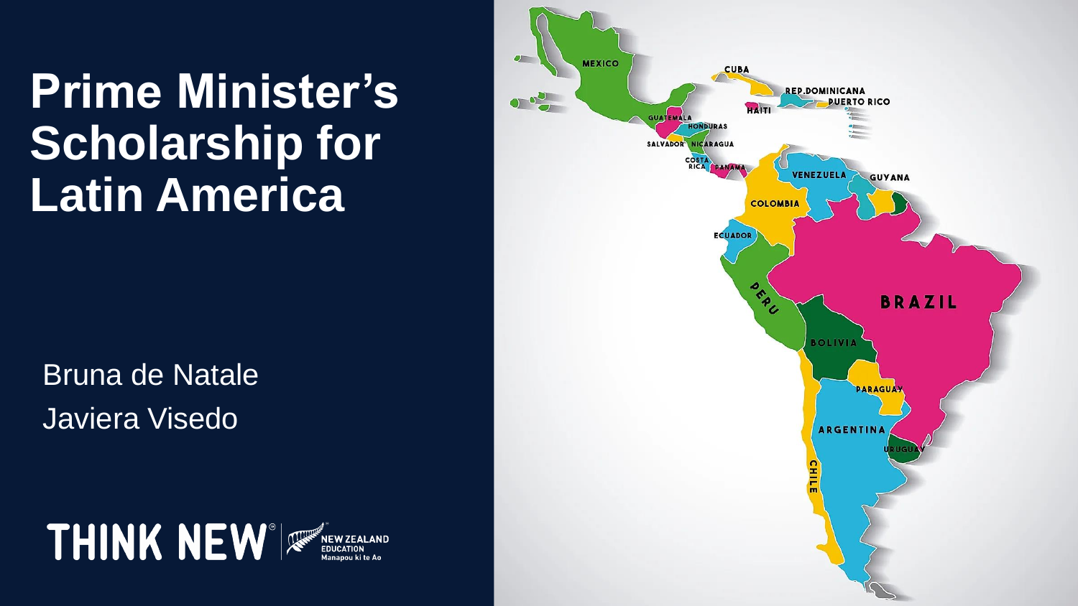**Prime Minister's Scholarship for Latin America** 

Bruna de Natale Javiera Visedo



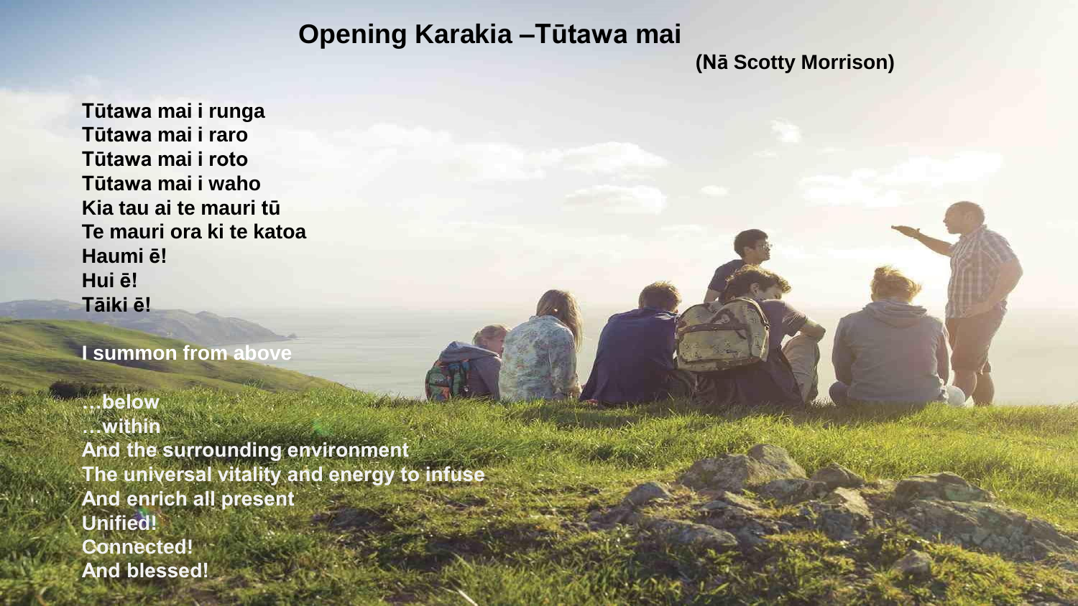#### **Opening Karakia –Tūtawa mai**

#### **(Nā Scotty Morrison)**

**Tūtawa mai i runga Tūtawa mai i raro Tūtawa mai i roto Tūtawa mai i waho Kia tau ai te mauri tū Te mauri ora ki te katoa Haumi ē! Hui ē! Tāiki ē!**

**I summon from above**

**…below …within And the surrounding environment The universal vitality and energy to infuse And enrich all present Unified! Connected! And blessed!**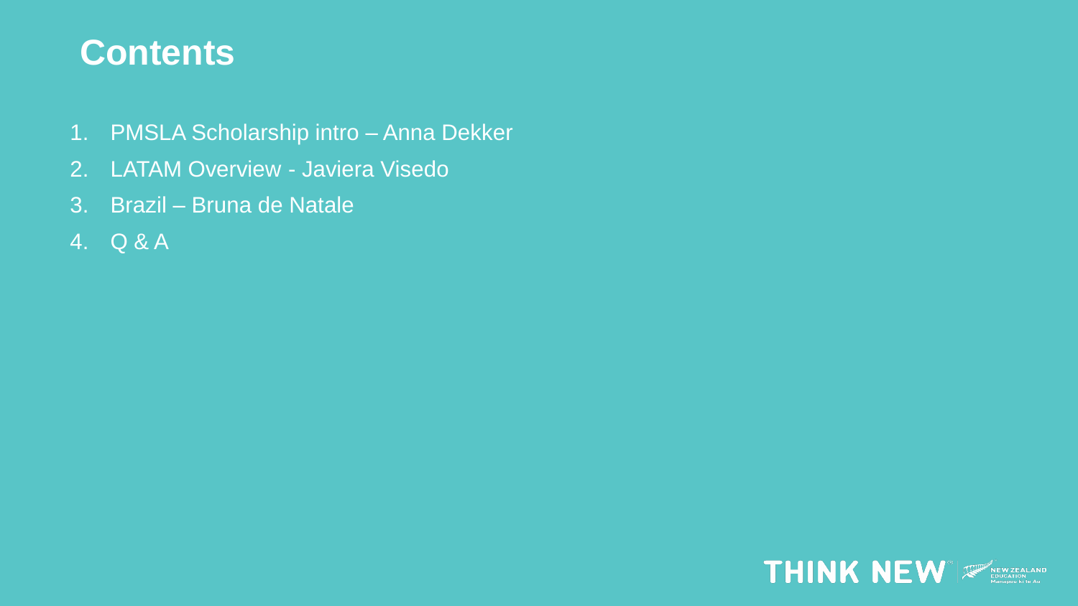#### **Contents**

- 1. PMSLA Scholarship intro Anna Dekker
- 2. LATAM Overview Javiera Visedo
- 3. Brazil Bruna de Natale
- 4. Q & A

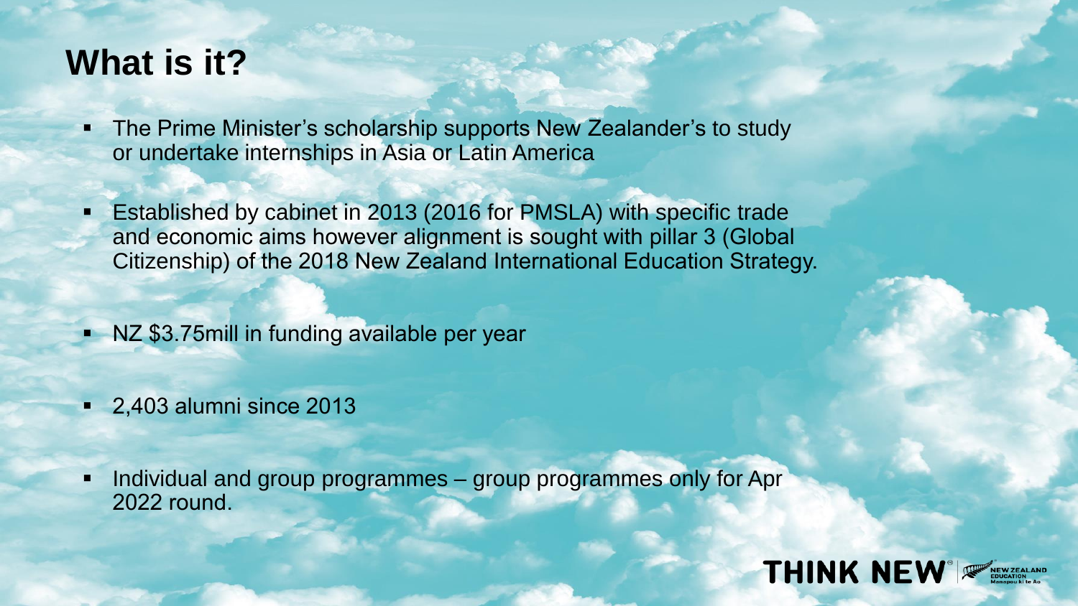#### **What is it?**

- **The Prime Minister's scholarship supports New Zealander's to study** or undertake internships in Asia or Latin America
- Established by cabinet in 2013 (2016 for PMSLA) with specific trade and economic aims however alignment is sought with pillar 3 (Global Citizenship) of the 2018 New Zealand International Education Strategy.
- NZ \$3.75mill in funding available per year
- 2,403 alumni since 2013
- Individual and group programmes group programmes only for Apr 2022 round.

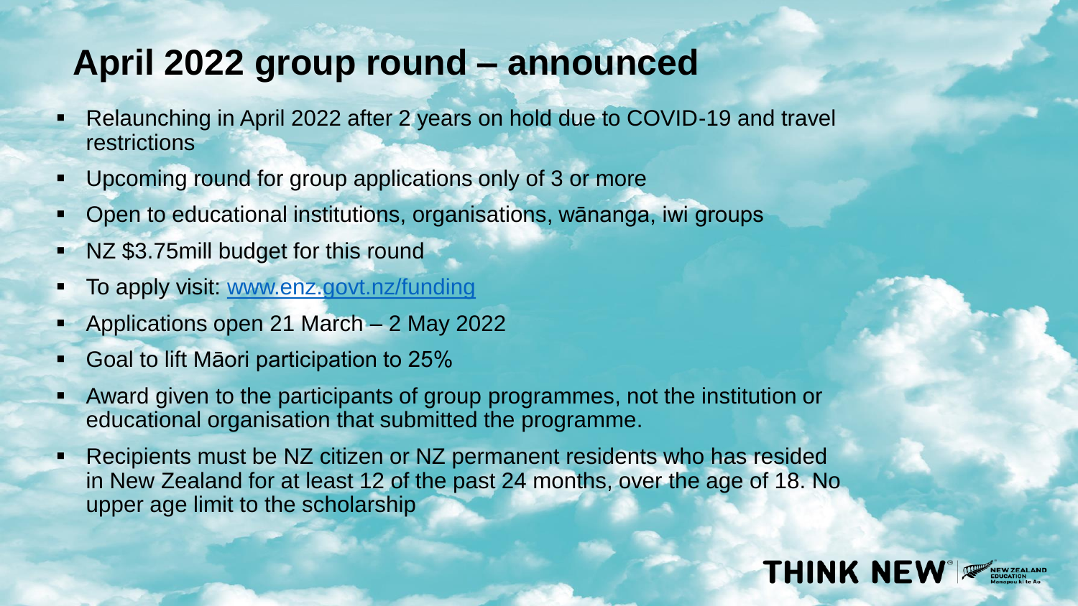#### **April 2022 group round – announced**

- Relaunching in April 2022 after 2 years on hold due to COVID-19 and travel restrictions
- Upcoming round for group applications only of 3 or more
- Open to educational institutions, organisations, wānanga, iwi groups
- NZ \$3.75mill budget for this round
- To apply visit: [www.enz.govt.nz/funding](http://www.enz.govt.nz/funding)
- Applications open 21 March 2 May 2022
- Goal to lift Māori participation to 25%
- Award given to the participants of group programmes, not the institution or educational organisation that submitted the programme.
- Recipients must be NZ citizen or NZ permanent residents who has resided in New Zealand for at least 12 of the past 24 months, over the age of 18. No upper age limit to the scholarship

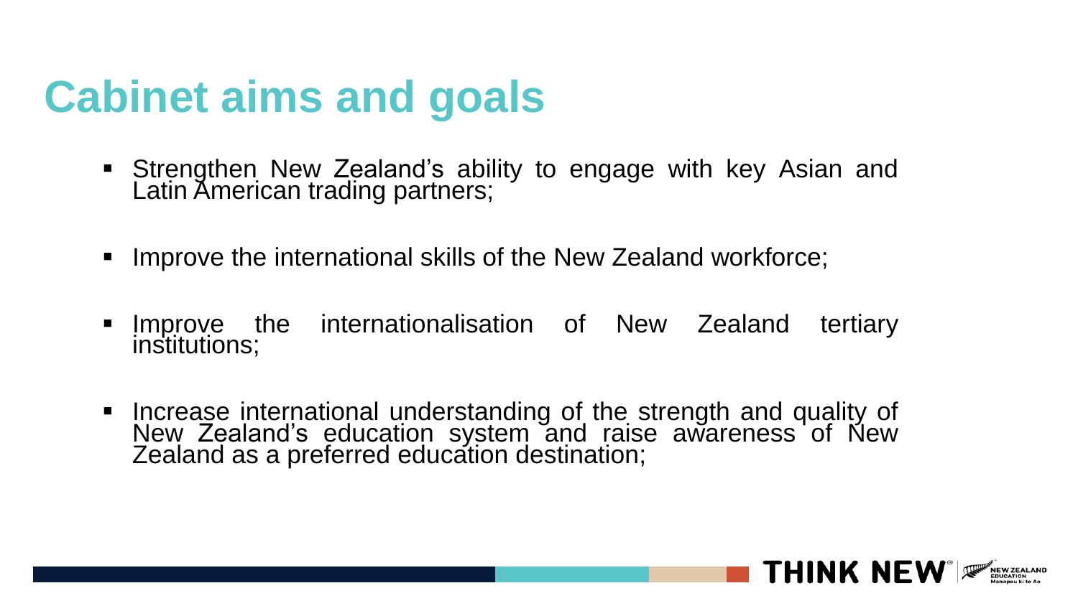### **Cabinet aims and goals**

- **EXT** Strengthen New Zealand's ability to engage with key Asian and Latin American trading partners;
- Improve the international skills of the New Zealand workforce;
- **EXTERGHERE INTERFATATION IS CONTEX INCREDIT** Improve the internationalisation of New Zealand tertiary institutions;
- Increase international understanding of the strength and quality of New Zealand's education system and raise awareness of New Zealand as a preferred education destination;

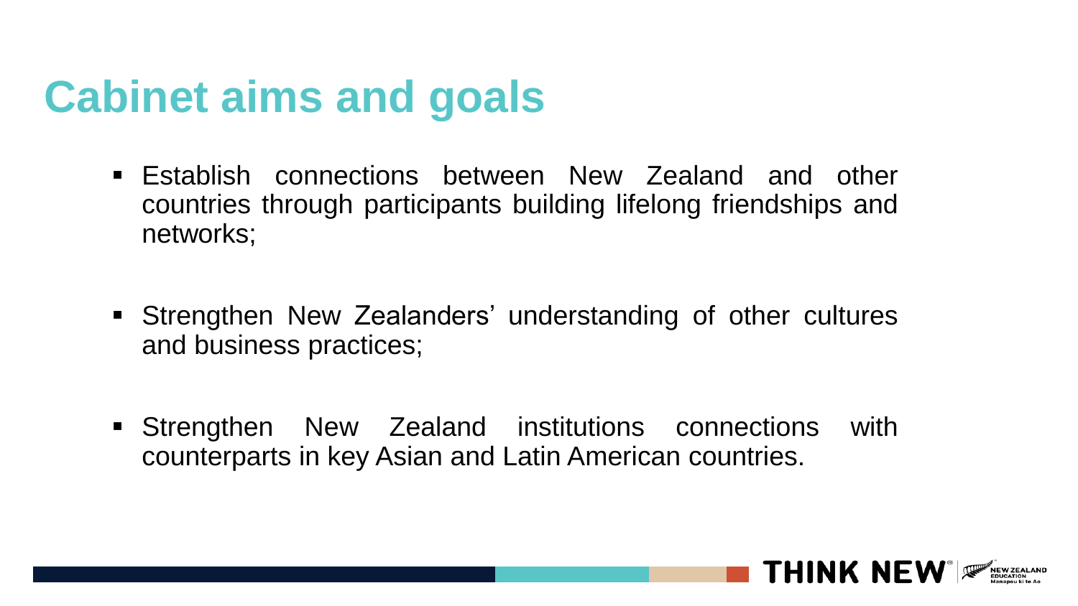### **Cabinet aims and goals**

- Establish connections between New Zealand and other countries through participants building lifelong friendships and networks;
- Strengthen New Zealanders' understanding of other cultures and business practices;
- **EXTENGINGHEN Strengthen New Zealand institutions connections with** counterparts in key Asian and Latin American countries.

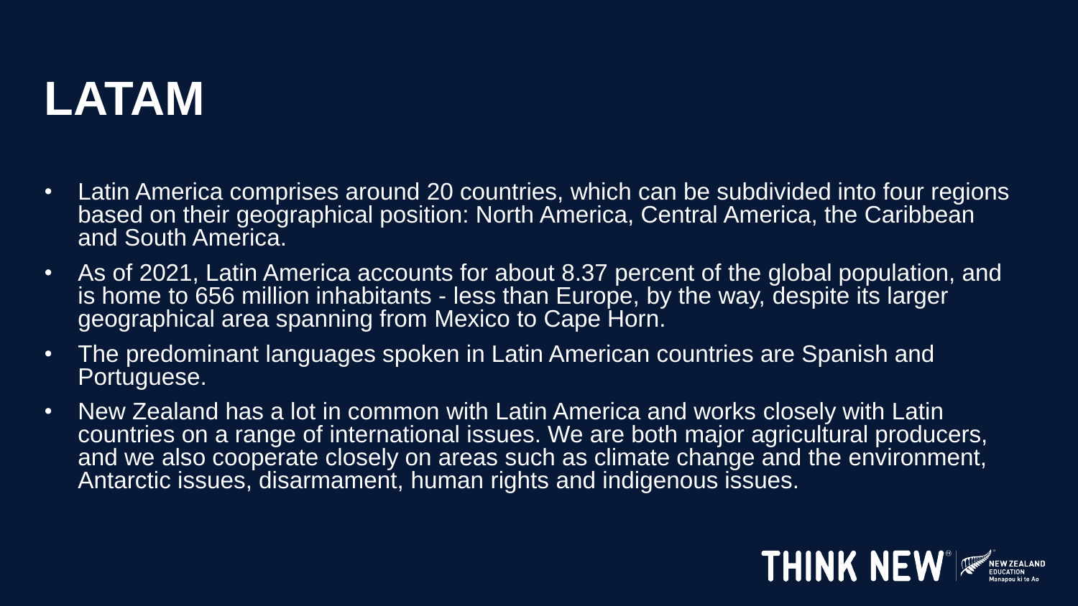## **LATAM**

- Latin America comprises around 20 countries, which can be subdivided into four regions based on their geographical position: North America, Central America, the Caribbean and South America.
- As of 2021, Latin America accounts for about 8.37 percent of the global population, and is home to 656 million inhabitants - less than Europe, by the way, despite its larger geographical area spanning from Mexico to Cape Horn.
- The predominant languages spoken in Latin American countries are Spanish and Portuguese.
- New Zealand has a lot in common with Latin America and works closely with Latin countries on a range of international issues. We are both major agricultural producers, and we also cooperate closely on areas such as climate change and the environment, Antarctic issues, disarmament, human rights and indigenous issues.

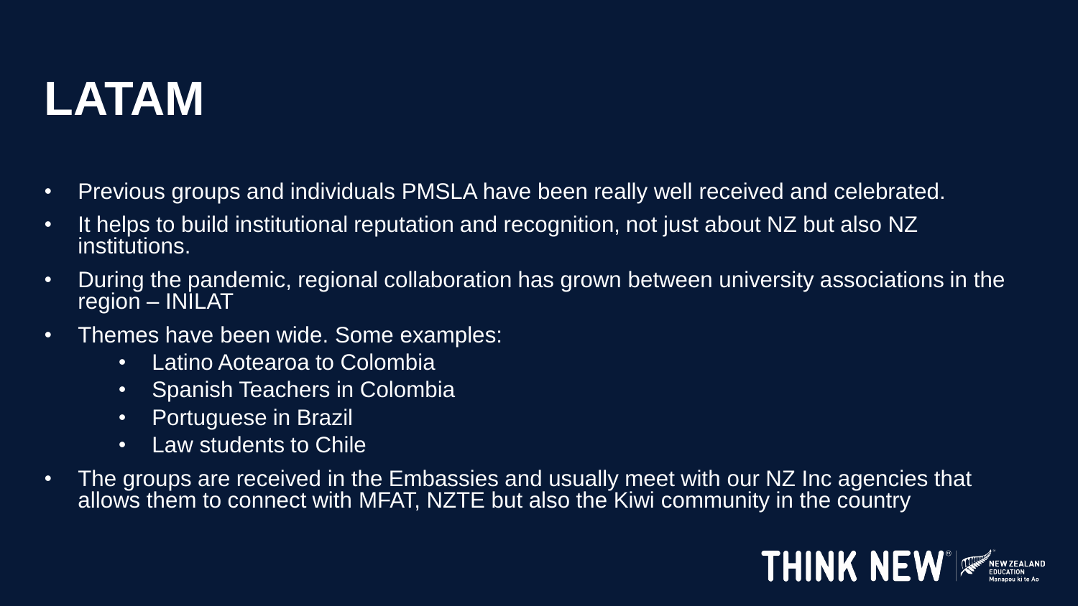# **LATAM**

- Previous groups and individuals PMSLA have been really well received and celebrated.
- It helps to build institutional reputation and recognition, not just about NZ but also NZ institutions.
- During the pandemic, regional collaboration has grown between university associations in the region – INILAT
- Themes have been wide. Some examples:
	- Latino Aotearoa to Colombia
	- Spanish Teachers in Colombia
	- Portuguese in Brazil
	- Law students to Chile
- The groups are received in the Embassies and usually meet with our NZ Inc agencies that allows them to connect with MFAT, NZTE but also the Kiwi community in the country

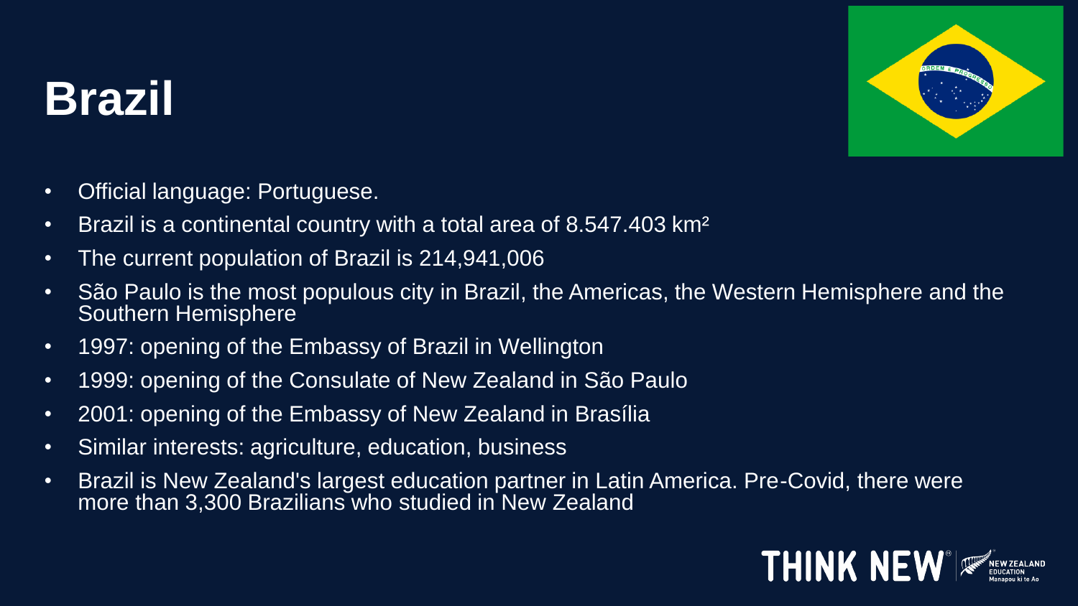# **Brazil**



- Official language: Portuguese.
- Brazil is a continental country with a total area of 8.547.403 km<sup>2</sup>
- The current population of Brazil is  $\overline{214,941,006}$
- São Paulo is the most populous city in Brazil, the Americas, the Western Hemisphere and the Southern Hemisphere
- 1997: opening of the Embassy of Brazil in Wellington
- 1999: opening of the Consulate of New Zealand in São Paulo
- 2001: opening of the Embassy of New Zealand in Brasília
- Similar interests: agriculture, education, business
- Brazil is New Zealand's largest education partner in Latin America. Pre-Covid, there were more than 3,300 Brazilians who studied in New Zealand

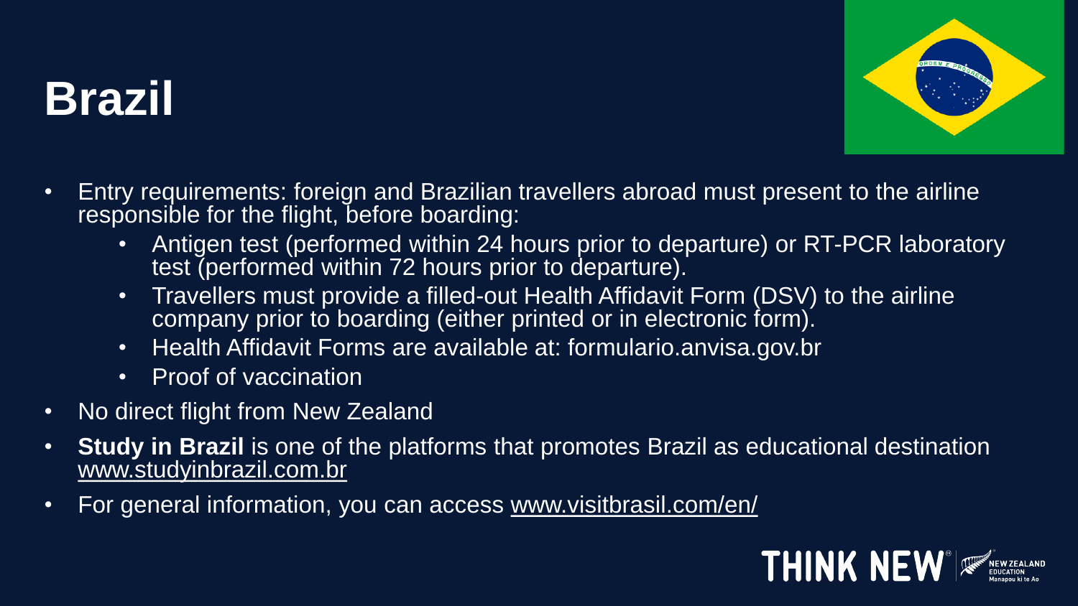# **Brazil**



- Entry requirements: foreign and Brazilian travellers abroad must present to the airline responsible for the flight, before boarding:
	- Antigen test (performed within 24 hours prior to departure) or RT-PCR laboratory test (performed within 72 hours prior to departure).
	- Travellers must provide a filled-out Health Affidavit Form (DSV) to the airline company prior to boarding (either printed or in electronic form).
	- Health Affidavit Forms are available at: formulario.anvisa.gov.br
	- Proof of vaccination
- No direct flight from New Zealand
- **Study in Brazil** is one of the platforms that promotes Brazil as educational destination [www.studyinbrazil.com.br](http://www.studyinbrazil.com.br/)
- For general information, you can access [www.visitbrasil.com/en/](http://www.visitbrasil.com/en/)

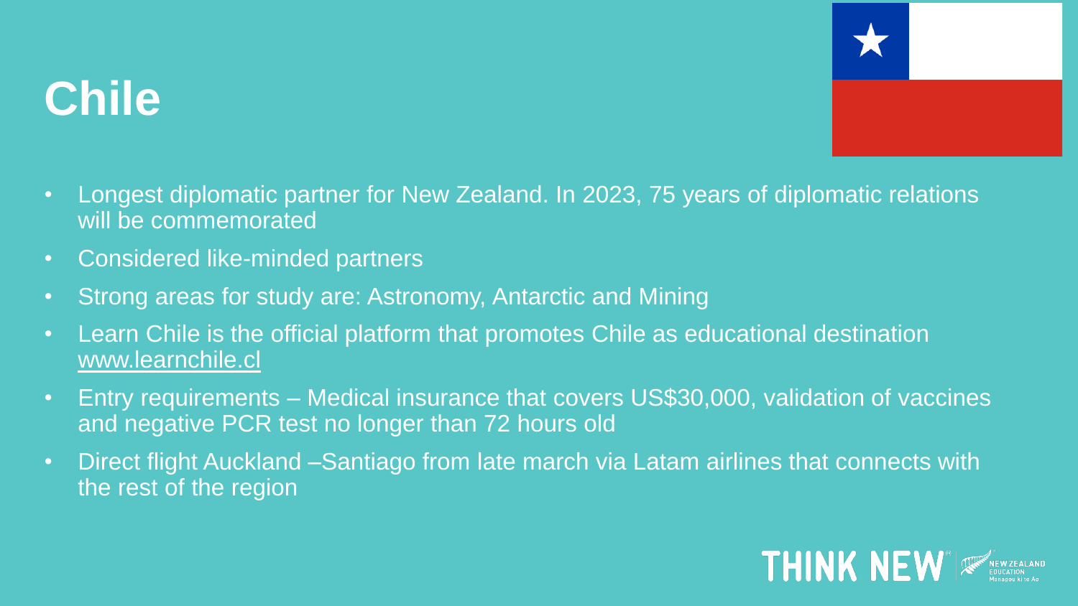

#### **Chile**

- Longest diplomatic partner for New Zealand. In 2023, 75 years of diplomatic relations will be commemorated
- Considered like-minded partners
- Strong areas for study are: Astronomy, Antarctic and Mining
- Learn Chile is the official platform that promotes Chile as educational destination [www.learnchile.cl](http://www.larnchile.cl/)
- Entry requirements Medical insurance that covers US\$30,000, validation of vaccines and negative PCR test no longer than 72 hours old
- Direct flight Auckland –Santiago from late march via Latam airlines that connects with the rest of the region

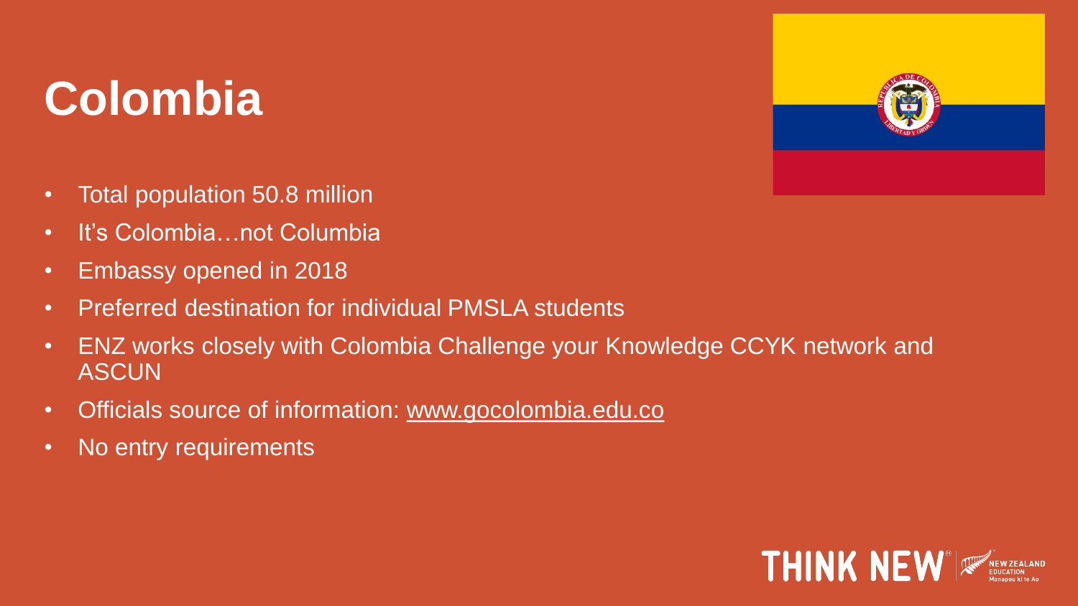# **Colombia**



- Total population 50.8 million
- It's Colombia…not Columbia
- Embassy opened in 2018
- Preferred destination for individual PMSLA students
- ENZ works closely with Colombia Challenge your Knowledge CCYK network and ASCUN
- Officials source of information: [www.gocolombia.edu.co](http://www.gocolombia.edu.co/)
- No entry requirements

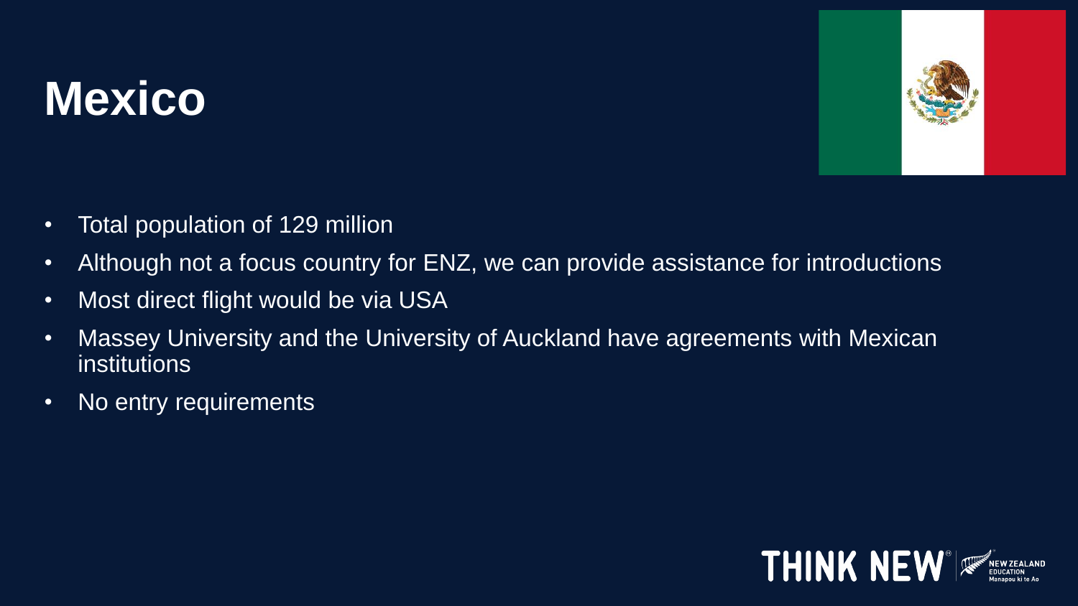# **Mexico**



- Total population of 129 million
- Although not a focus country for ENZ, we can provide assistance for introductions
- Most direct flight would be via USA
- Massey University and the University of Auckland have agreements with Mexican **institutions**
- No entry requirements

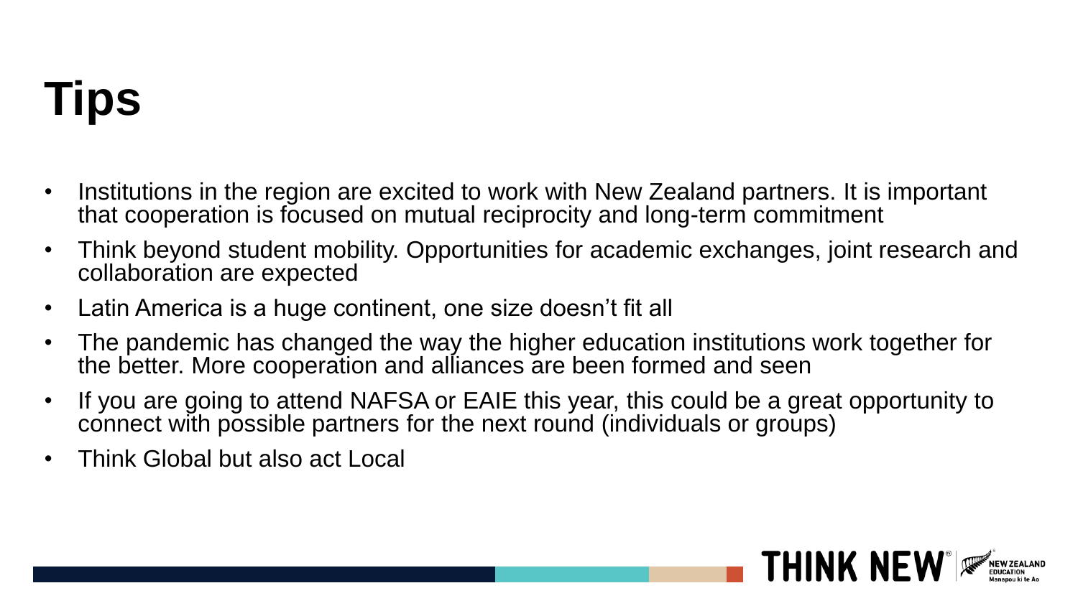# **Tips**

- Institutions in the region are excited to work with New Zealand partners. It is important that cooperation is focused on mutual reciprocity and long-term commitment
- Think beyond student mobility. Opportunities for academic exchanges, joint research and collaboration are expected
- Latin America is a huge continent, one size doesn't fit all
- The pandemic has changed the way the higher education institutions work together for the better. More cooperation and alliances are been formed and seen
- If you are going to attend NAFSA or EAIE this year, this could be a great opportunity to connect with possible partners for the next round (individuals or groups)

**THINK NEW** 

• Think Global but also act Local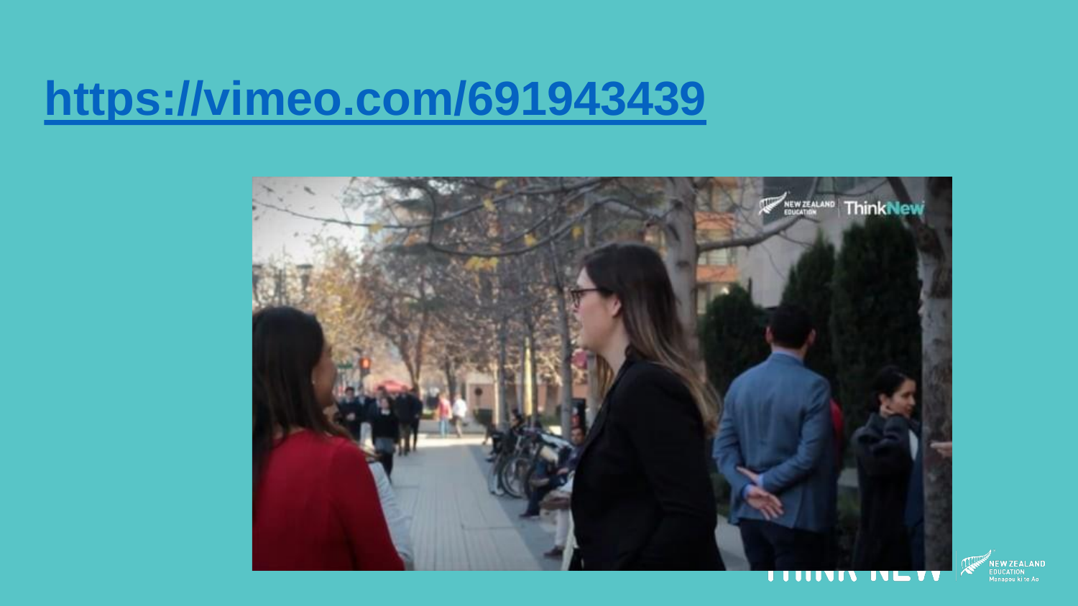### **<https://vimeo.com/691943439>**



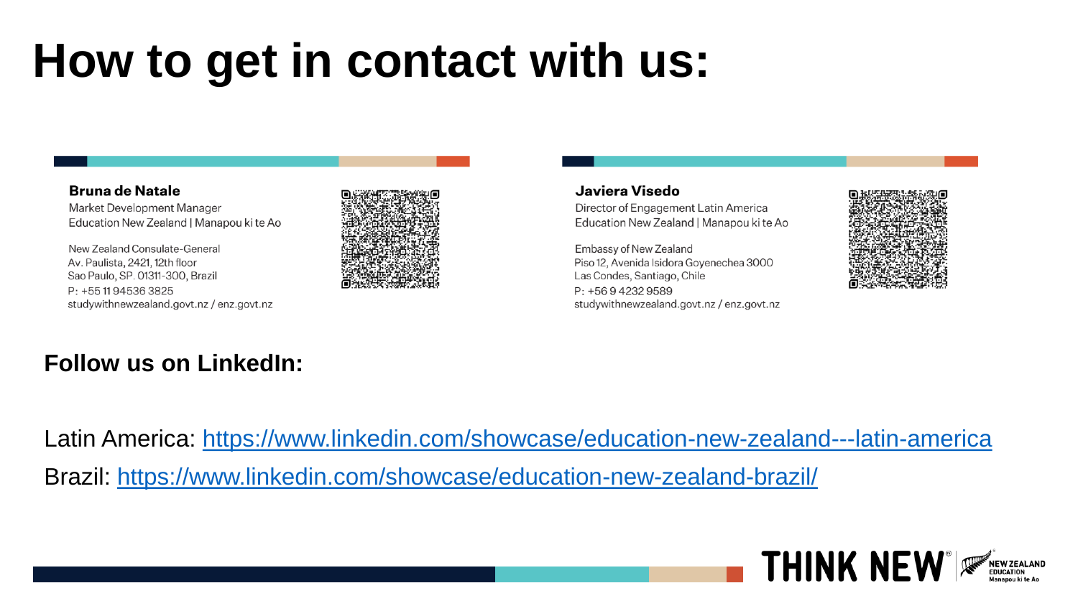# **How to get in contact with us:**

#### **Bruna de Natale**

Market Development Manager Education New Zealand | Manapou ki te Ao

New Zealand Consulate-General Av. Paulista, 2421, 12th floor Sao Paulo, SP. 01311-300, Brazil P: +55 11 94536 3825 studywithnewzealand.govt.nz / enz.govt.nz



#### **Follow us on LinkedIn:**

#### Javiera Visedo

Director of Engagement Latin America Education New Zealand | Manapou ki te Ao

Embassy of New Zealand Piso 12, Avenida Isidora Goyenechea 3000 Las Condes, Santiago, Chile P: +56942329589 studywithnewzealand.govt.nz / enz.govt.nz



Latin America:<https://www.linkedin.com/showcase/education-new-zealand---latin-america>

Brazil:<https://www.linkedin.com/showcase/education-new-zealand-brazil/>

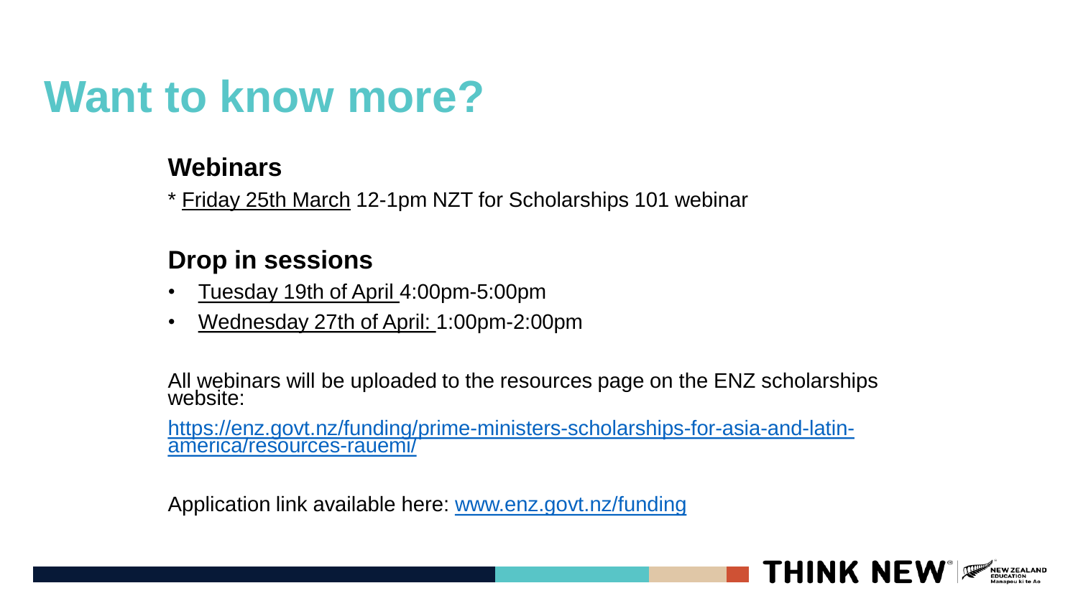#### **Want to know more?**

#### **Webinars**

\* Friday 25th March 12-1pm NZT for Scholarships 101 webinar

#### **Drop in sessions**

- Tuesday 19th of April 4:00pm-5:00pm
- Wednesday 27th of April: 1:00pm-2:00pm

All webinars will be uploaded to the resources page on the ENZ scholarships website:

[https://enz.govt.nz/funding/prime-ministers-scholarships-for-asia-and-latin](https://enz.govt.nz/funding/prime-ministers-scholarships-for-asia-and-latin-america/resources-rauemi/)america/resources-rauemi/

Application link available here: [www.enz.govt.nz/funding](http://www.enz.govt.nz/funding)